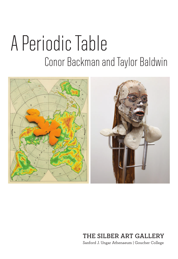# A Periodic Table Conor Backman and Taylor Baldwin



## THE SILBER ART GALLERY

Sanford J. Ungar Athenaeum | Goucher College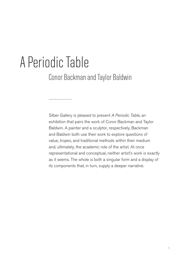## A Periodic Table Conor Backman and Taylor Baldwin

Silber Gallery is pleased to present A Periodic Table, an exhibition that pairs the work of Conor Backman and Taylor Baldwin. A painter and a sculptor, respectively, Backman and Baldwin both use their work to explore questions of value, tropes, and traditional methods within their medium and, ultimately, the academic role of the artist. At once representational and conceptual, neither artist's work is exactly as it seems. The whole is both a singular form and a display of its components that, in turn, supply a deeper narrative.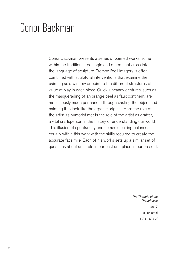## Conor Backman

Conor Backman presents a series of painted works, some within the traditional rectangle and others that cross into the language of sculpture. Trompe l'oeil imagery is often combined with sculptural interventions that examine the painting as a window or point to the different structures of value at play in each piece. Quick, uncanny gestures, such as the masquerading of an orange peel as faux continent, are meticulously made permanent through casting the object and painting it to look like the organic original. Here the role of the artist as humorist meets the role of the artist as drafter, a vital craftsperson in the history of understanding our world. This illusion of spontaneity and comedic pairing balances equally within this work with the skills required to create the accurate facsimile. Each of his works sets up a similar set of questions about art's role in our past and place in our present.

> *The Thought of the Thoughtless* 2017 oil on steel 12" x 16" x 2"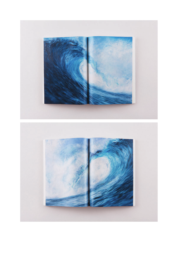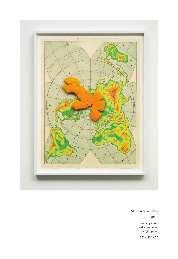

*The Sun Never Sets*

2015

ink on paper, cast aquaresin, acrylic paint

28" x 22" x 2"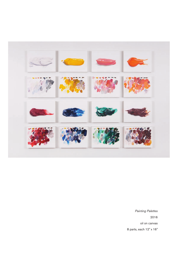

*Painting Palettes* 2016 oil on canvas 8 parts, each 12" x 16"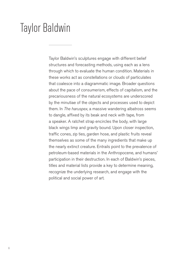## Taylor Baldwin

Taylor Baldwin's sculptures engage with different belief structures and forecasting methods, using each as a lens through which to evaluate the human condition. Materials in these works act as constellations or clouds of particulates that coalesce into a diagrammatic image. Broader questions about the pace of consumerism, effects of capitalism, and the precariousness of the natural ecosystems are underscored by the minutiae of the objects and processes used to depict them. In The haruspex, a massive wandering albatross seems to dangle, affixed by its beak and neck with tape, from a speaker. A ratchet strap encircles the body, with large black wings limp and gravity bound. Upon closer inspection, traffic cones, zip ties, garden hose, and plastic fruits reveal themselves as some of the many ingredients that make up the nearly extinct creature. Entrails point to the prevalence of petroleum-based materials in the Anthropocene, and humans' participation in their destruction. In each of Baldwin's pieces, titles and material lists provide a key to determine meaning, recognize the underlying research, and engage with the political and social power of art.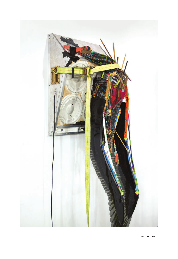

the haruspex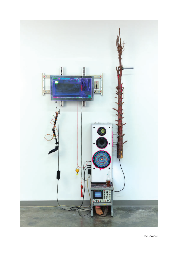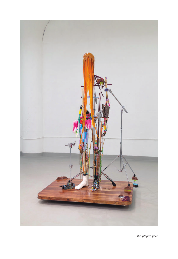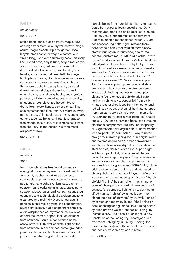#### PAGE 7

#### *the haruspex*

#### 2013-2017

stolen traffic cone, brass screws, maple, co2 cartridge from starbucks, drywall screws, magic sculpt, magic smooth, zip ties, garden hose, bicycle break cable, salvaged electrical wire, vinyl tubing, used weed trimming cable, masonry line, ribbed hose, acrylic tube, acrylic rod, acrylic sheet, epoxy resin, national grid barricade, driftwood, steel, aluminum, mop handle, broom handle, expandable urethane, ball chain, eye hook, plastic beads, fiberglass driveway markers, car antenna, stainless screws & nuts, branch, thrift store plastic bin, sculptamold, plywood, dowels, mixing sticks, antique flooring nail, enamel paint, retail display hooks, sea styrofoam, paracord, window screening, costume jewelry, pinecones, toothpicks, toothbrush, broken drumsticks, clock hands, cement, sheathing, security fasteners taken from nyc metro subway, ratchet strap, ¼ in. audio cable, ¼ in. audio jack, gaffer's tape, lab bolts, laminate, fake grapes, fake mango, fake bread, fake lemons, fake limes, fake cherries, limited edition 7-eleven metal slurpee™ straws.

96" x 32" x 24"

#### PAGE 8

*the oracle* 

#### $0016$

trunk from christmas tree found curbside in may, gold chain, expoy resin, colorant, machine axel, t-nut, washer, bnc-to-tree connector, coax cable, asphault, wood screws, aluminum, poplar, urethane adhesive, laminate, cabinet speaker found curbside in january, epoxy putty, speaker, plastic lemon and ice from guangzhou economic and technological development zone, clear urethane resin, 4-40 socket screws, 3 pennies in final moving yang line configuration, silver paint marker, audio component amplifier, audio adaptor cables, styrofoam, sculpy bust of oetzi the iceman, copper leaf, led element from bathroom fixture in condemned home, screw covers, 120v wall sockets, light switch from bathroom in condemned home, grounded power cable and cable clamp from scrapped pc hardware store register, furniture pads,

reconfigured graffiti-ed office desk left in studio from diy venue 'supertomb', corian trim from trident dumpster, reconditioned hitachi v-202f oscilloscope, lag bolts, rigid urethane foam, polystyrene display foot from shuttered show store in burlington vt, driftwood, bnc-to-rca adaptor, custom rca-to-1/8" audio cable, 'beats by dre' headphone cable from ex's last christmas gift, styrofoam lemon from hobby lobby, dresser knob from janelle's dresser, anatomical skeleton arm bracket, 'happu-store ancient i ching coins prosperity protection feng shui lucky charm' from eshylala store, 12v 5a dc power supply, 12v 3a power supply, zip ties, plastic skeletal arm traded with corey for as-yet-undelivered work, black flocking, mannequin hand, pipe cleaners found on street outside adult care facility in richmond va, copper foil from barb, vintage leather shoe laces from irish setter and red wing, plywood, c-channel, laminate stripped from register kiosk behind am/pm in memphis tn, urethane putty, coaxial wall plate, 12" coaxial cable, ¼-20 knobs, carriage bolts, cable-mounts, electronic components, arduino uno, raspberry pi 3, greatscott color organ pcb, 7" hdmi monitor w/ backpack, 12" hdmi cable, 1-way mirrored plexiglass, mirrored plexiglass, p95 acrylic, clear and colored acrylic scrap, brass screws from warehouse liquidation, drywall screws, stainless steel screws, double-sided tape, super-bright led, led strips, tin foil, time-series of charles minard's flow map of napolean's russian invasion and successive attempts to improve upon it sources from google images (1869-2015), drum stick broken in personal injury and later used as stirring stick for the period of 2-years, 36-second video loop of planed wood grain, "i ching" by john blofeld, "i ching" by sam reifler, "the i ching, or, book of changes" by richard wilhelm and cary f. baynes, "the complete i ching" by taoist master alfred huang, "i ching" by james legge, "the i ching: the book of answers" by wu wei, "i ching" by kerson and rosemary huang, "the i ching or book of changes: a guide to life's turning points" by brian browne walker, "the taoist i ching" by thomas cleary, "the classic of changes: a new translation of the i ching" by richard john lynn, "the taoist i ching" by lui i-ming, "i ching: the essential translation of the ancient chinese oracle and book of wisdom" by john minford.

particle board from curbside furniture, kombucha bottle from superstitiously saved since 2014,

96" x 36" x 36"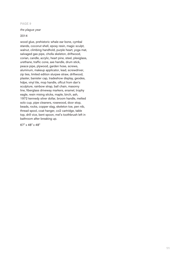#### PAGE 9

*the plague year* 

#### 2014

wood glue, prehistoric whale ear bone, cymbal stands, coconut shell, epoxy resin, magic sculpt, walnut, climbing handhold, purple heart, yoga mat, salvaged gas pipe, cholla skeleton, driftwood, corian, candle, acrylic, heart pine, steel, plexiglass, urethane, traffic cone, axe handle, drum stick, peace pipe, plywood, garden hose, screws, aluminum, makeup applicator, lead, screwdriver, zip ties, limited edition slurpee straw, driftwood, plaster, banister cap, tradeshow display, geodes, hdpe, vinyl tile, mop handle, offcut from dan's sculpture, rainbow strap, ball chain, masonry line, fiberglass driveway markers, enamel, trophy eagle, resin mixing sticks, maple, birch, ash, 1972 kennedy silver dollar, broom handle, melted solo cup, pipe cleaners, rosewood, door stop, beads, rocks, copper slag, skeleton toe, pen nib, thread spool, coat hanger, co2 cartridge, table top, drill vice, bent spoon, mel's toothbrush left in bathroom after breaking up.

67" x 48" x 48"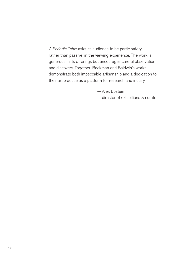A Periodic Table asks its audience to be participatory, rather than passive, in the viewing experience. The work is generous in its offerings but encourages careful observation and discovery. Together, Backman and Baldwin's works demonstrate both impeccable artisanship and a dedication to their art practice as a platform for research and inquiry.

> — Alex Ebstein director of exhibitions & curator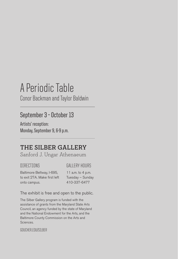## A Periodic Table

Conor Backman and Taylor Baldwin

### September 3 – October 13

Artists' reception: Monday, September 9, 6-9 p.m.

### THE SILBER GALLERY

Sanford J. Ungar Athenaeum

### DIRECTIONS

### GALLERY HOURS

Baltimore Beltway, I-695, to exit 27A. Make first left onto campus.

11 a.m. to 4 p.m. Tuesday – Sunday 410-337-6477

The exhibit is free and open to the public.

The Silber Gallery program is funded with the assistance of grants from the Maryland State Arts Council, an agency funded by the state of Maryland and the National Endowment for the Arts, and the Baltimore County Commission on the Arts and Sciences.

GOUCHER.EDU/SILBER